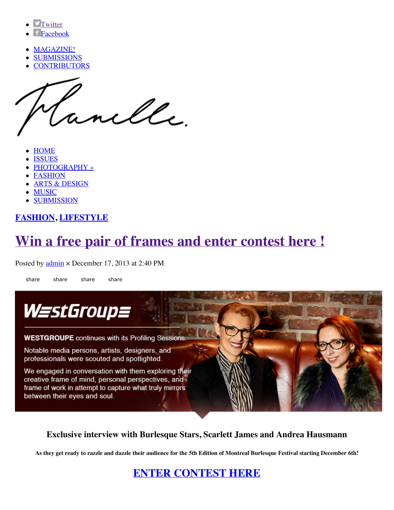- **Twitter**
- Facebook
- MAGAZINE!
- SUBMISSIONS
- **CONTRIBUTORS**

anelle.

- HOME
- ISSUES
- PHOTOGRAPHY »
- FASHION
- ARTS & DESIGN
- MUSIC
- SUBMISSION

## **FASHION, LIFESTYLE**

# **Win a free pair of frames and enter contest here !**

Posted by **admin**  $\times$  December 17, 2013 at 2:40 PM

share share share share



**Exclusive interview with Burlesque Stars, Scarlett James and Andrea Hausmann**

**As they get ready to razzle and dazzle their audience for the 5th Edition of Montreal Burlesque Festival starting December 6th!**

**ENTER CONTEST HERE**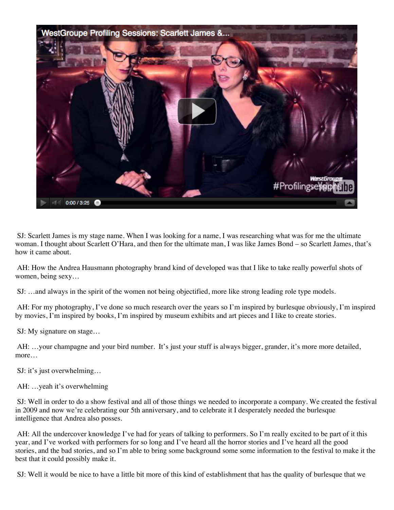

 SJ: Scarlett James is my stage name. When I was looking for a name, I was researching what was for me the ultimate woman. I thought about Scarlett O'Hara, and then for the ultimate man, I was like James Bond – so Scarlett James, that's how it came about.

 AH: How the Andrea Hausmann photography brand kind of developed was that I like to take really powerful shots of women, being sexy…

SJ: …and always in the spirit of the women not being objectified, more like strong leading role type models.

 AH: For my photography, I've done so much research over the years so I'm inspired by burlesque obviously, I'm inspired by movies, I'm inspired by books, I'm inspired by museum exhibits and art pieces and I like to create stories.

SJ: My signature on stage…

 AH: …your champagne and your bird number. It's just your stuff is always bigger, grander, it's more more detailed, more…

SJ: it's just overwhelming…

AH: …yeah it's overwhelming

 SJ: Well in order to do a show festival and all of those things we needed to incorporate a company. We created the festival in 2009 and now we're celebrating our 5th anniversary, and to celebrate it I desperately needed the burlesque intelligence that Andrea also posses.

 AH: All the undercover knowledge I've had for years of talking to performers. So I'm really excited to be part of it this year, and I've worked with performers for so long and I've heard all the horror stories and I've heard all the good stories, and the bad stories, and so I'm able to bring some background some some information to the festival to make it the best that it could possibly make it.

SJ: Well it would be nice to have a little bit more of this kind of establishment that has the quality of burlesque that we